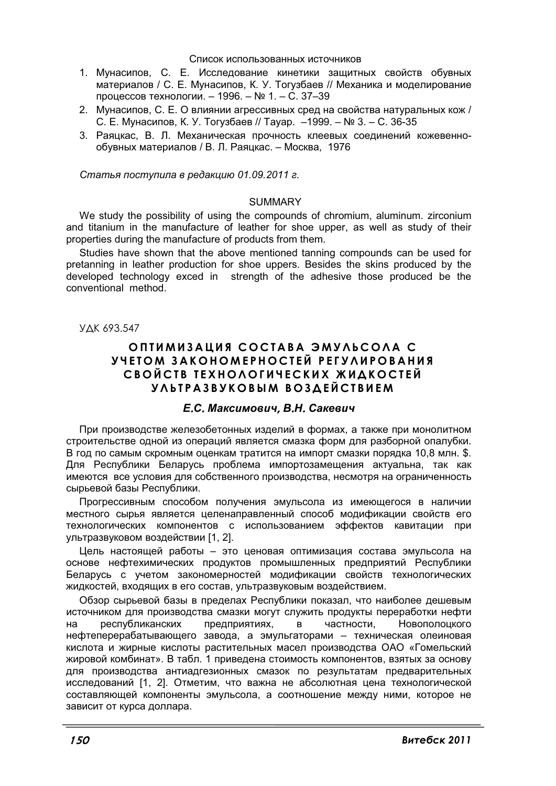#### Список использованных источников

- 1. Мунасипов, С. Е. Исследование кинетики защитных свойств обувных материалов / С. Е. Мунасипов, К. У. Тогузбаев // Механика и моделирование процессов технологии. - 1996. - № 1. - С. 37-39
- 2. Мунасипов, С. Е. О влиянии агрессивных сред на свойства натуральных кож / С. Е. Мунасипов, К. У. Тогузбаев // Тауар. -1999. - № 3. - С. 36-35
- 3. Раяцкас, В. Л. Механическая прочность клеевых соединений кожевеннообувных материалов / В. Л. Раяцкас. - Москва, 1976

Статья поступила в редакцию 01.09.2011 г.

#### **SUMMARY**

We study the possibility of using the compounds of chromium, aluminum. zirconium and titanium in the manufacture of leather for shoe upper, as well as study of their properties during the manufacture of products from them.

Studies have shown that the above mentioned tanning compounds can be used for pretanning in leather production for shoe uppers. Besides the skins produced by the developed technology exced in strength of the adhesive those produced be the conventional method.

**VAK 693.547** 

# ОПТИМИЗАЦИЯ СОСТАВА ЭМУЛЬСОЛА С УЧЕТОМ ЗАКОНОМЕРНОСТЕЙ РЕГУЛИРОВАНИЯ СВОЙСТВ ТЕХНОЛОГИЧЕСКИХ ЖИДКОСТЕЙ УЛЬТРАЗВУКОВЫМ ВОЗДЕЙСТВИЕМ

#### Е.С. Максимович. В.Н. Сакевич

При производстве железобетонных изделий в формах, а также при монолитном строительстве одной из операций является смазка форм для разборной опалубки. В год по самым скромным оценкам тратится на импорт смазки порядка 10,8 млн. \$. Для Республики Беларусь проблема импортозамещения актуальна, так как имеются все условия для собственного производства, несмотря на ограниченность сырьевой базы Республики.

Прогрессивным способом получения эмульсола из имеющегося в наличии местного сырья является целенаправленный способ модификации свойств его технологических компонентов с использованием эффектов кавитации при ультразвуковом воздействии [1, 2].

Цель настоящей работы - это ценовая оптимизация состава эмульсола на основе нефтехимических продуктов промышленных предприятий Республики Беларусь с учетом закономерностей модификации свойств технологических жидкостей, входящих в его состав, ультразвуковым воздействием.

Обзор сырьевой базы в пределах Республики показал, что наиболее дешевым источником для производства смазки могут служить продукты переработки нефти республиканских предприятиях,  $\mathbf{B}$ частности. Новополоцкого на нефтеперерабатывающего завода, а эмульгаторами - техническая олеиновая кислота и жирные кислоты растительных масел производства ОАО «Гомельский жировой комбинат». В табл. 1 приведена стоимость компонентов, взятых за основу для производства антиадгезионных смазок по результатам предварительных исследований [1, 2]. Отметим, что важна не абсолютная цена технологической составляющей компоненты эмульсола, а соотношение между ними, которое не зависит от курса доллара.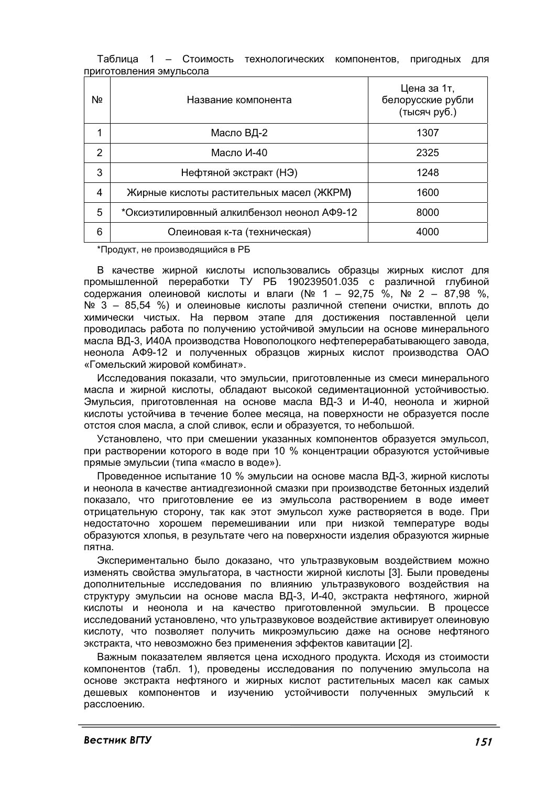|  | Nº             | Название компонента                         | Цена за 1т,<br>белорусские рубли<br>(тысяч руб.) |
|--|----------------|---------------------------------------------|--------------------------------------------------|
|  | 1              | Масло ВД-2                                  | 1307                                             |
|  | $\overline{2}$ | Масло И-40                                  | 2325                                             |
|  | 3              | Нефтяной экстракт (НЭ)                      | 1248                                             |
|  | 4              | Жирные кислоты растительных масел (ЖКРМ)    | 1600                                             |
|  | 5              | *Оксиэтилировнный алкилбензол неонол АФ9-12 | 8000                                             |
|  | 6              | Олеиновая к-та (техническая)                | 4000                                             |

Таблица 1 – Стоимость технологических компонентов, пригодных для приготовления эмульсола

\*Продукт, не производящийся в РБ

В качестве жирной кислоты использовались образцы жирных кислот для промышленной переработки ТУ РБ 190239501.035 с различной глубиной содержания олейновой кислоты и влаги (№ 1 - 92,75 %, № 2 - 87,98 %, № 3 - 85,54 %) и олеиновые кислоты различной степени очистки, вплоть до химически чистых. На первом этапе для достижения поставленной цели проводилась работа по получению устойчивой эмульсии на основе минерального масла ВД-3, И40А производства Новополоцкого нефтеперерабатывающего завода, неонола АФ9-12 и полученных образцов жирных кислот производства ОАО «Гомельский жировой комбинат».

Исследования показали, что эмульсии, приготовленные из смеси минерального масла и жирной кислоты, обладают высокой седиментационной устойчивостью. Эмульсия, приготовленная на основе масла ВД-3 и И-40, неонола и жирной кислоты устойчива в течение более месяца, на поверхности не образуется после отстоя слоя масла, а слой сливок, если и образуется, то небольшой.

Установлено, что при смешении указанных компонентов образуется эмульсол. при растворении которого в воде при 10 % концентрации образуются устойчивые прямые эмульсии (типа «масло в воде»).

Проведенное испытание 10 % эмульсии на основе масла ВД-3, жирной кислоты и неонола в качестве антиадгезионной смазки при производстве бетонных изделий показало, что приготовление ее из эмульсола растворением в воде имеет отрицательную сторону, так как этот эмульсол хуже растворяется в воде. При недостаточно хорошем перемешивании или при низкой температуре воды образуются хлопья, в результате чего на поверхности изделия образуются жирные пятна.

Экспериментально было доказано, что ультразвуковым воздействием можно изменять свойства эмульгатора, в частности жирной кислоты [3]. Были проведены дополнительные исследования по влиянию ультразвукового воздействия на структуру эмульсии на основе масла ВД-3, И-40, экстракта нефтяного, жирной кислоты и неонола и на качество приготовленной эмульсии. В процессе исследований установлено, что ультразвуковое воздействие активирует олеиновую кислоту, что позволяет получить микроэмульсию даже на основе нефтяного экстракта, что невозможно без применения эффектов кавитации [2].

Важным показателем является цена исходного продукта. Исходя из стоимости компонентов (табл. 1), проведены исследования по получению эмульсола на основе экстракта нефтяного и жирных кислот растительных масел как самых дешевых компонентов и изучению устойчивости полученных эмульсий к расслоению.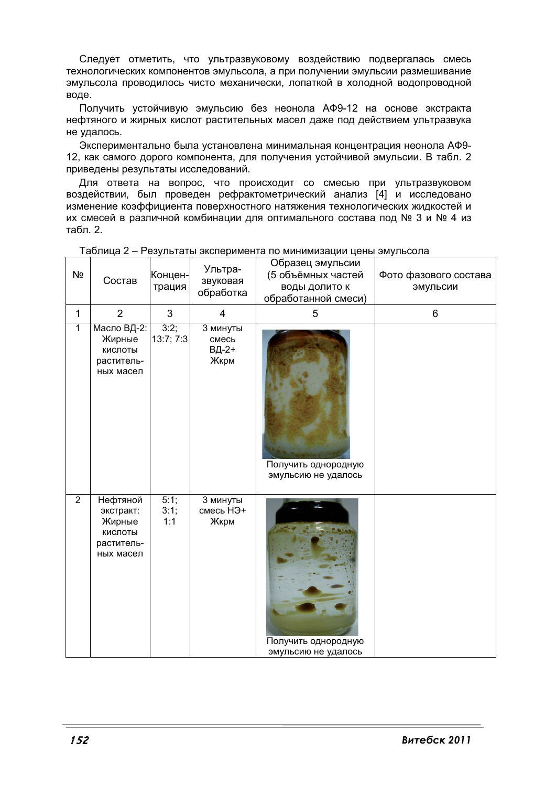Следует отметить, что ультразвуковому воздействию подвергалась смесь технологических компонентов эмульсола, а при получении эмульсии размешивание эмульсола проводилось чисто механически, лопаткой в холодной водопроводной воде.

Получить устойчивую эмульсию без неонола АФ9-12 на основе экстракта нефтяного и жирных кислот растительных масел даже под действием ультразвука не удалось.

Экспериментально была установлена минимальная концентрация неонола АФ9-12, как самого дорого компонента, для получения устойчивой эмульсии. В табл. 2 приведены результаты исследований.

Для ответа на вопрос, что происходит со смесью при ультразвуковом воздействии, был проведен рефрактометрический анализ [4] и исследовано изменение коэффициента поверхностного натяжения технологических жидкостей и их смесей в различной комбинации для оптимального состава под № 3 и № 4 из табл. 2.

| Nº             | Состав                                                                | Концен-<br>трация   | Ультра-<br>звуковая<br>обработка   | Образец эмульсии<br>(5 объёмных частей<br>воды долито к<br>обработанной смеси) | Фото фазового состава<br>эмульсии |
|----------------|-----------------------------------------------------------------------|---------------------|------------------------------------|--------------------------------------------------------------------------------|-----------------------------------|
| 1              | $\overline{2}$                                                        | 3                   | 4                                  | 5                                                                              | 6                                 |
| $\mathbf{1}$   | Масло ВД-2:<br>Жирные<br>КИСЛОТЫ<br>раститель-<br>ных масел           | 3:2;<br>13:7; 7:3   | 3 минуты<br>смесь<br>ВД-2+<br>Жкрм | Получить однородную<br>эмульсию не удалось                                     |                                   |
| $\overline{2}$ | Нефтяной<br>экстракт:<br>Жирные<br>КИСЛОТЫ<br>раститель-<br>ных масел | 5:1;<br>3:1;<br>1:1 | 3 минуты<br>смесь НЭ+<br>Жкрм      | Получить однородную<br>эмульсию не удалось                                     | THIS SHABBOOM                     |

Таблица 2- Результаты эксперимента по минимизации цены эмульсола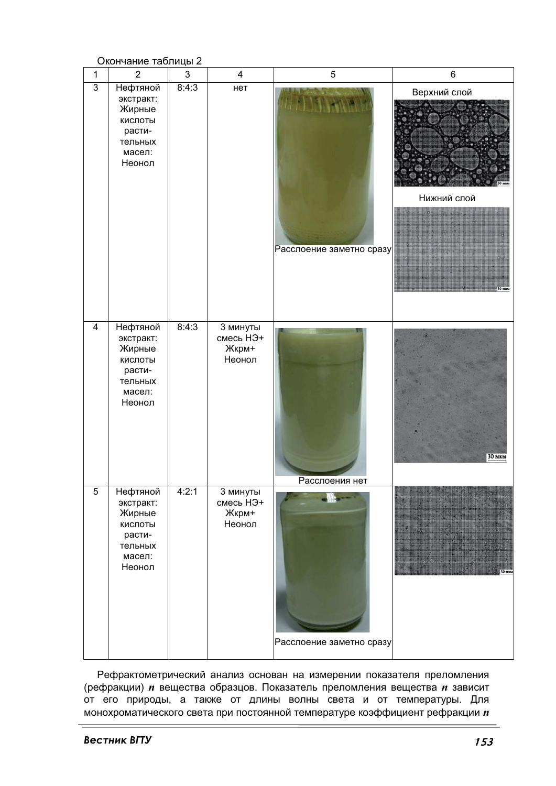

Рефрактометрический анализ основан на измерении показателя преломления (рефракции) *п* вещества образцов. Показатель преломления вещества *п* зависит от его природы, а также от длины волны света и от температуры. Для монохроматического света при постоянной температуре коэффициент рефракции *п*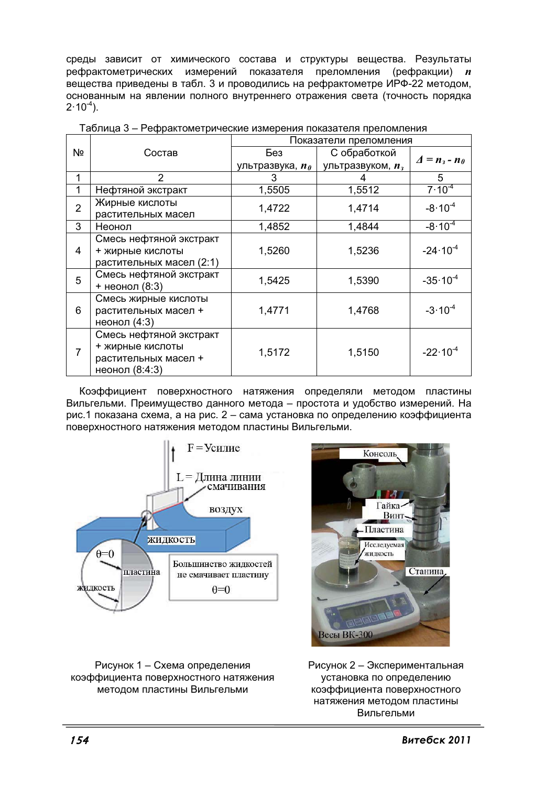среды зависит от химического состава и структуры вещества. Результаты рефрактометрических измерений показателя преломления (рефракции)  $\boldsymbol{n}$ вещества приведены в табл. 3 и проводились на рефрактометре ИРФ-22 методом, основанным на явлении полного внутреннего отражения света (точность порядка  $2.10^{-4}$ ).

|    |                                                                                       | Показатели преломления             |                     |                                                             |
|----|---------------------------------------------------------------------------------------|------------------------------------|---------------------|-------------------------------------------------------------|
| Nº | Состав                                                                                | Без                                | С обработкой        | $\boldsymbol{\Delta} = \boldsymbol{n}_3 - \boldsymbol{n}_0$ |
|    |                                                                                       | ультразвука, <i>п</i> <sub>0</sub> | ультразвуком, $n_3$ |                                                             |
| 1  | $\mathcal{P}$                                                                         | 3                                  |                     | 5                                                           |
|    | Нефтяной экстракт                                                                     | 1,5505                             | 1,5512              | $7.10^{4}$                                                  |
|    | Жирные кислоты<br>растительных масел                                                  | 1,4722                             | 1,4714              | $-8.10^{-4}$                                                |
| 3  | Неонол                                                                                | 1,4852                             | 1,4844              | $-8.10^{-4}$                                                |
| 4  | Смесь нефтяной экстракт<br>+ жирные кислоты<br>растительных масел (2:1)               | 1,5260                             | 1,5236              | $-24.10^{-4}$                                               |
| 5  | Смесь нефтяной экстракт<br>+ неонол (8:3)                                             | 1,5425                             | 1,5390              | $-35 \cdot 10^{-4}$                                         |
| 6  | Смесь жирные кислоты<br>растительных масел +<br>неонол (4:3)                          | 1,4771                             | 1,4768              | $-3.10^{-4}$                                                |
| 7  | Смесь нефтяной экстракт<br>+ жирные кислоты<br>растительных масел +<br>неонол (8:4:3) | 1,5172                             | 1,5150              | $-22 \cdot 10^{-4}$                                         |

Таблица 3 - Рефрактометрические измерения показателя преломления

Коэффициент поверхностного натяжения определяли методом пластины Вильгельми. Преимущество данного метода - простота и удобство измерений. На рис.1 показана схема, а на рис. 2 - сама установка по определению коэффициента поверхностного натяжения методом пластины Вильгельми.



Рисунок 1 - Схема определения коэффициента поверхностного натяжения методом пластины Вильгельми



Рисунок 2 - Экспериментальная установка по определению коэффициента поверхностного натяжения методом пластины Вильгельми

CHTEX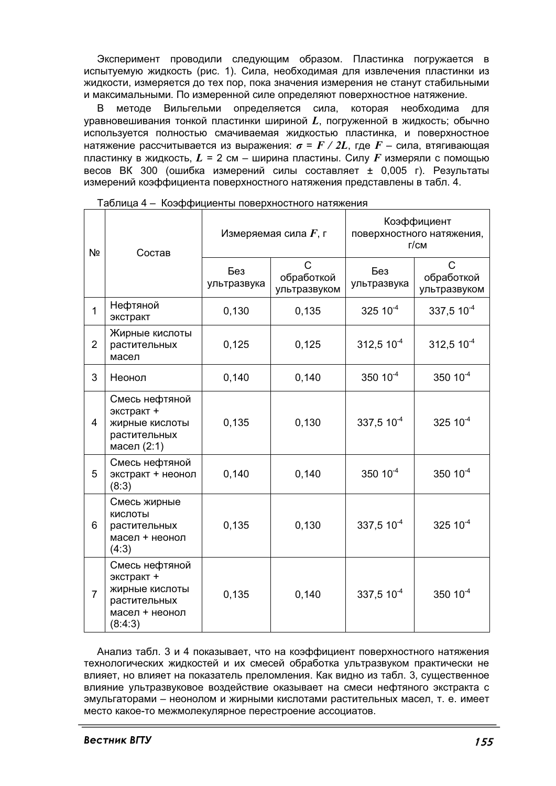Эксперимент проводили следующим образом. Пластинка погружается в испытуемую жидкость (рис. 1). Сила, необходимая для извлечения пластинки из жидкости, измеряется до тех пор, пока значения измерения не станут стабильными и максимальными. По измеренной силе определяют поверхностное натяжение.

B методе Вильгельми определяется сила, которая необходима для уравновешивания тонкой пластинки шириной  $L$ , погруженной в жидкость; обычно используется полностью смачиваемая жидкостью пластинка, и поверхностное натяжение рассчитывается из выражения:  $\sigma = F/2L$ , где  $F$  – сила, втягивающая пластинку в жидкость,  $L = 2$  см – ширина пластины. Силу  $F$  измеряли с помощью весов ВК 300 (ошибка измерений силы составляет ± 0.005 г). Результаты измерений коэффициента поверхностного натяжения представлены в табл. 4.

| Nº             | Состав                                                                                      | Измеряемая сила $F$ , г |                                 | Коэффициент<br>поверхностного натяжения,<br>$\Gamma$ / $CM$ |                                 |
|----------------|---------------------------------------------------------------------------------------------|-------------------------|---------------------------------|-------------------------------------------------------------|---------------------------------|
|                |                                                                                             | Без<br>ультразвука      | C<br>обработкой<br>ультразвуком | Без<br>ультразвука                                          | C<br>обработкой<br>ультразвуком |
| $\mathbf{1}$   | Нефтяной<br>экстракт                                                                        | 0,130                   | 0,135                           | $325 10^{-4}$                                               | 337,5 10 <sup>-4</sup>          |
| $\overline{2}$ | Жирные кислоты<br>растительных<br>масел                                                     | 0,125                   | 0,125                           | $312,510^{-4}$                                              | $312,510^{-4}$                  |
| 3              | Неонол                                                                                      | 0,140                   | 0,140                           | $350 \ 10^{-4}$                                             | $350 10^{-4}$                   |
| 4              | Смесь нефтяной<br>экстракт +<br>жирные кислоты<br>растительных<br>масел (2:1)               | 0,135                   | 0,130                           | $337,510^{4}$                                               | $325 10^{-4}$                   |
| 5              | Смесь нефтяной<br>экстракт + неонол<br>(8:3)                                                | 0,140                   | 0,140                           | 350 10 <sup>-4</sup>                                        | $350 10^{-4}$                   |
| 6              | Смесь жирные<br>КИСЛОТЫ<br>растительных<br>масел + неонол<br>(4:3)                          | 0,135                   | 0,130                           | 337,5 $10^{-4}$                                             | $325 10^{-4}$                   |
| $\overline{7}$ | Смесь нефтяной<br>экстракт +<br>жирные кислоты<br>растительных<br>масел + неонол<br>(8:4:3) | 0,135                   | 0,140                           | $337,510^{-4}$                                              | 350 10                          |

 $\Gamma$ Таблица 4 – Коэффициенты поверхностного натяжения

Анализ табл. 3 и 4 показывает, что на коэффициент поверхностного натяжения технологических жидкостей и их смесей обработка ультразвуком практически не влияет, но влияет на показатель преломления. Как видно из табл. 3, существенное влияние ультразвуковое воздействие оказывает на смеси нефтяного экстракта с эмульгаторами - неонолом и жирными кислотами растительных масел, т. е. имеет место какое-то межмолекулярное перестроение ассоциатов.